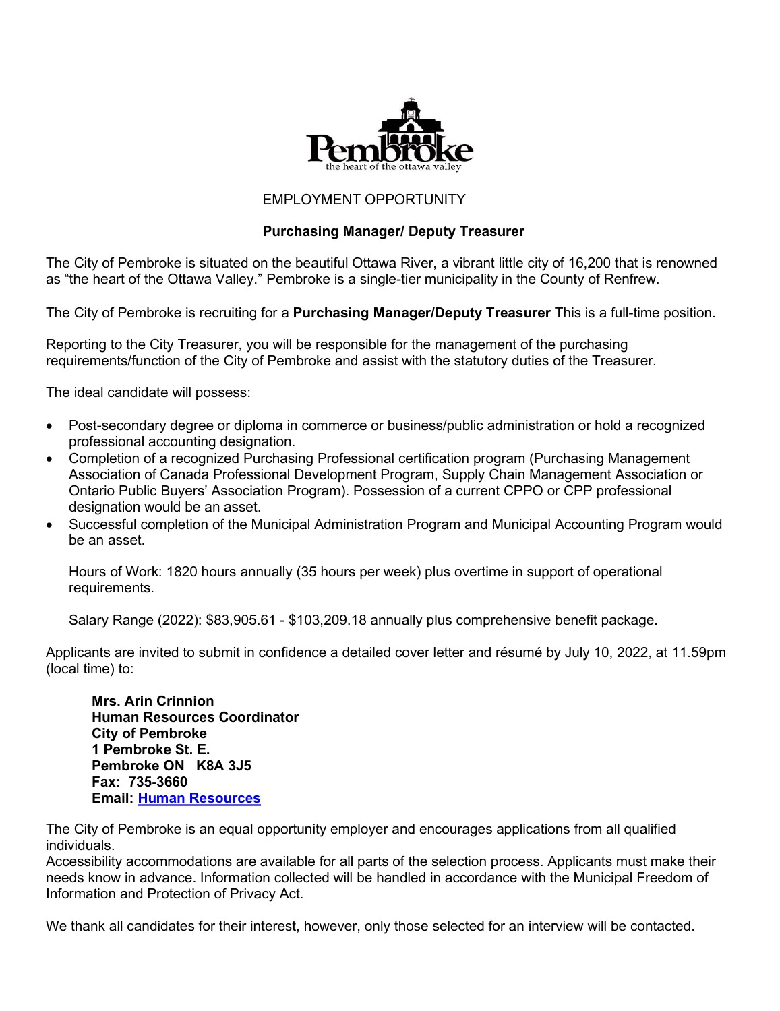

## EMPLOYMENT OPPORTUNITY

# **Purchasing Manager/ Deputy Treasurer**

The City of Pembroke is situated on the beautiful Ottawa River, a vibrant little city of 16,200 that is renowned as "the heart of the Ottawa Valley." Pembroke is a single-tier municipality in the County of Renfrew.

The City of Pembroke is recruiting for a **Purchasing Manager/Deputy Treasurer** This is a full-time position.

Reporting to the City Treasurer, you will be responsible for the management of the purchasing requirements/function of the City of Pembroke and assist with the statutory duties of the Treasurer.

The ideal candidate will possess:

- Post-secondary degree or diploma in commerce or business/public administration or hold a recognized professional accounting designation.
- Completion of a recognized Purchasing Professional certification program (Purchasing Management Association of Canada Professional Development Program, Supply Chain Management Association or Ontario Public Buyers' Association Program). Possession of a current CPPO or CPP professional designation would be an asset.
- Successful completion of the Municipal Administration Program and Municipal Accounting Program would be an asset.

Hours of Work: 1820 hours annually (35 hours per week) plus overtime in support of operational requirements.

Salary Range (2022): \$83,905.61 - \$103,209.18 annually plus comprehensive benefit package.

Applicants are invited to submit in confidence a detailed cover letter and résumé by July 10, 2022, at 11.59pm (local time) to:

**Mrs. Arin Crinnion Human Resources Coordinator City of Pembroke 1 Pembroke St. E. Pembroke ON K8A 3J5 Fax: 735-3660 Email: [Human Resources](mailto:humanresources@pembroke.ca)**

The City of Pembroke is an equal opportunity employer and encourages applications from all qualified individuals.

Accessibility accommodations are available for all parts of the selection process. Applicants must make their needs know in advance. Information collected will be handled in accordance with the Municipal Freedom of Information and Protection of Privacy Act.

We thank all candidates for their interest, however, only those selected for an interview will be contacted.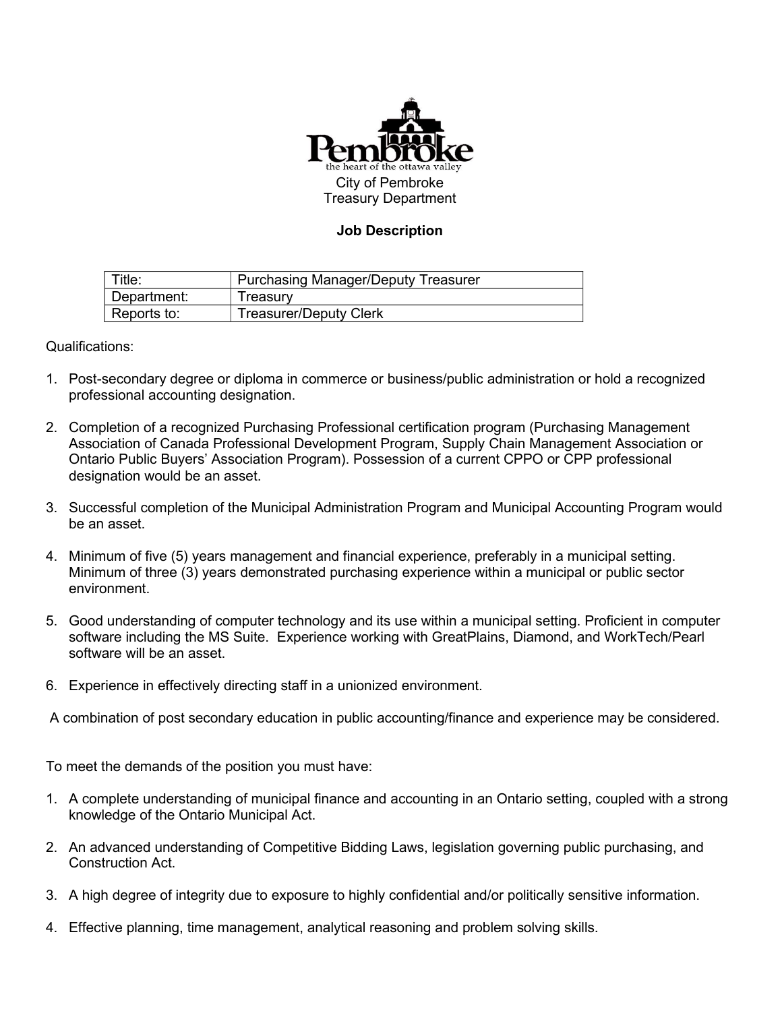

# **Job Description**

| Title:      | <b>Purchasing Manager/Deputy Treasurer</b> |
|-------------|--------------------------------------------|
| Department: | Freasurv                                   |
| Reports to: | <b>Treasurer/Deputy Clerk</b>              |

Qualifications:

- 1. Post-secondary degree or diploma in commerce or business/public administration or hold a recognized professional accounting designation.
- 2. Completion of a recognized Purchasing Professional certification program (Purchasing Management Association of Canada Professional Development Program, Supply Chain Management Association or Ontario Public Buyers' Association Program). Possession of a current CPPO or CPP professional designation would be an asset.
- 3. Successful completion of the Municipal Administration Program and Municipal Accounting Program would be an asset.
- 4. Minimum of five (5) years management and financial experience, preferably in a municipal setting. Minimum of three (3) years demonstrated purchasing experience within a municipal or public sector environment.
- 5. Good understanding of computer technology and its use within a municipal setting. Proficient in computer software including the MS Suite. Experience working with GreatPlains, Diamond, and WorkTech/Pearl software will be an asset
- 6. Experience in effectively directing staff in a unionized environment.

A combination of post secondary education in public accounting/finance and experience may be considered.

To meet the demands of the position you must have:

- 1. A complete understanding of municipal finance and accounting in an Ontario setting, coupled with a strong knowledge of the Ontario Municipal Act.
- 2. An advanced understanding of Competitive Bidding Laws, legislation governing public purchasing, and Construction Act.
- 3. A high degree of integrity due to exposure to highly confidential and/or politically sensitive information.
- 4. Effective planning, time management, analytical reasoning and problem solving skills.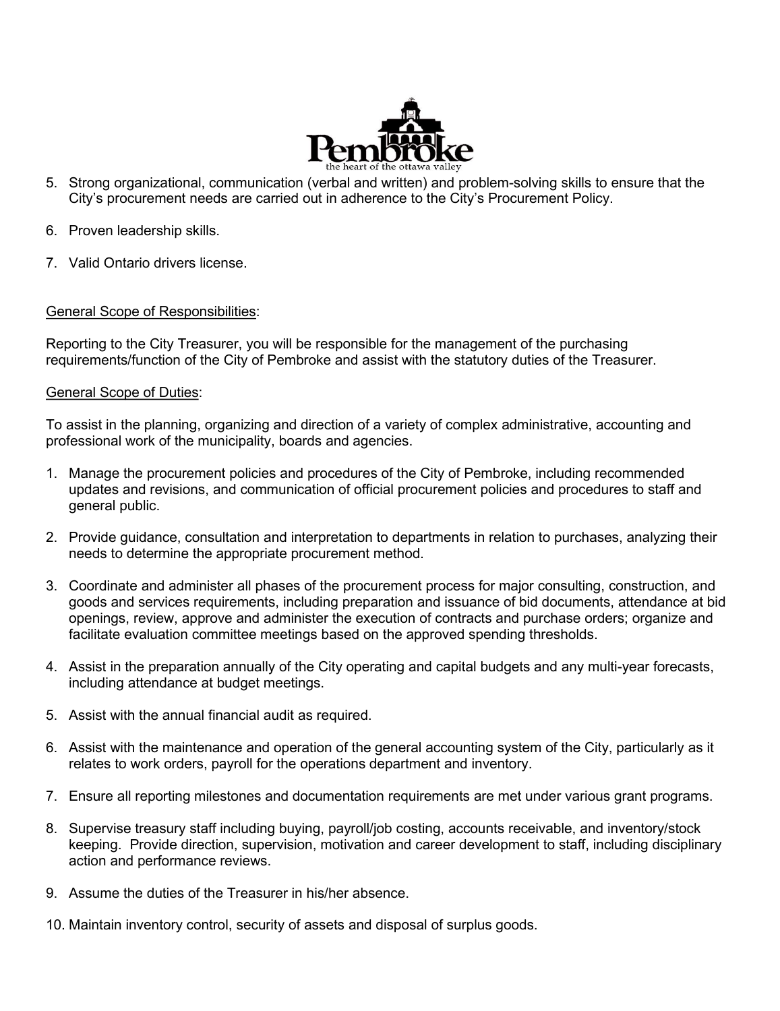

- 5. Strong organizational, communication (verbal and written) and problem-solving skills to ensure that the City's procurement needs are carried out in adherence to the City's Procurement Policy.
- 6. Proven leadership skills.
- 7. Valid Ontario drivers license.

## General Scope of Responsibilities:

Reporting to the City Treasurer, you will be responsible for the management of the purchasing requirements/function of the City of Pembroke and assist with the statutory duties of the Treasurer.

#### General Scope of Duties:

To assist in the planning, organizing and direction of a variety of complex administrative, accounting and professional work of the municipality, boards and agencies.

- 1. Manage the procurement policies and procedures of the City of Pembroke, including recommended updates and revisions, and communication of official procurement policies and procedures to staff and general public.
- 2. Provide guidance, consultation and interpretation to departments in relation to purchases, analyzing their needs to determine the appropriate procurement method.
- 3. Coordinate and administer all phases of the procurement process for major consulting, construction, and goods and services requirements, including preparation and issuance of bid documents, attendance at bid openings, review, approve and administer the execution of contracts and purchase orders; organize and facilitate evaluation committee meetings based on the approved spending thresholds.
- 4. Assist in the preparation annually of the City operating and capital budgets and any multi-year forecasts, including attendance at budget meetings.
- 5. Assist with the annual financial audit as required.
- 6. Assist with the maintenance and operation of the general accounting system of the City, particularly as it relates to work orders, payroll for the operations department and inventory.
- 7. Ensure all reporting milestones and documentation requirements are met under various grant programs.
- 8. Supervise treasury staff including buying, payroll/job costing, accounts receivable, and inventory/stock keeping. Provide direction, supervision, motivation and career development to staff, including disciplinary action and performance reviews.
- 9. Assume the duties of the Treasurer in his/her absence.
- 10. Maintain inventory control, security of assets and disposal of surplus goods.